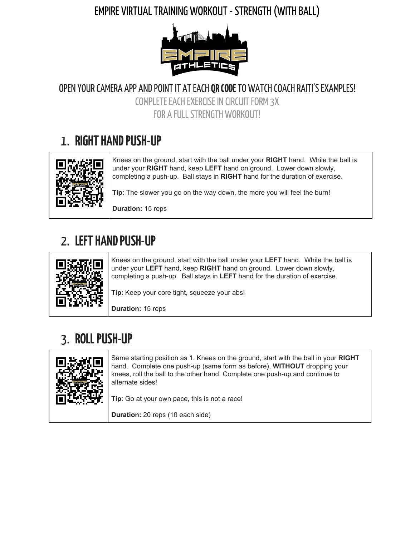#### EMPIRE VIRTUAL TRAINING WORKOUT - STRENGTH (WITH BALL)



OPEN YOUR CAMERA APP AND POINT IT AT EACH **QR CODE** TO WATCH COACH RAITI'S EXAMPLES!

COMPLETE EACH EXERCISE IN CIRCUIT FORM 3X FOR A FULL STRENGTH WORKOUT!

### 1. **RIGHT HAND PUSH-UP**



Knees on the ground, start with the ball under your **RIGHT** hand. While the ball is under your **RIGHT** hand, keep **LEFT** hand on ground. Lower down slowly, completing a push-up. Ball stays in **RIGHT** hand for the duration of exercise.

**Tip**: The slower you go on the way down, the more you will feel the burn!

**Duration:** 15 reps

## 2. **LEFTHANDPUSH-UP**



Knees on the ground, start with the ball under your **LEFT** hand. While the ball is under your **LEFT** hand, keep **RIGHT** hand on ground. Lower down slowly, completing a push-up. Ball stays in **LEFT** hand for the duration of exercise.

**Tip**: Keep your core tight, squeeze your abs!

**Duration:** 15 reps

## 3. **ROLLPUSH-UP**



Same starting position as 1. Knees on the ground, start with the ball in your **RIGHT** hand. Complete one push-up (same form as before), **WITHOUT** dropping your knees, roll the ball to the other hand. Complete one push-up and continue to alternate sides!

**Tip**: Go at your own pace, this is not a race!

**Duration:** 20 reps (10 each side)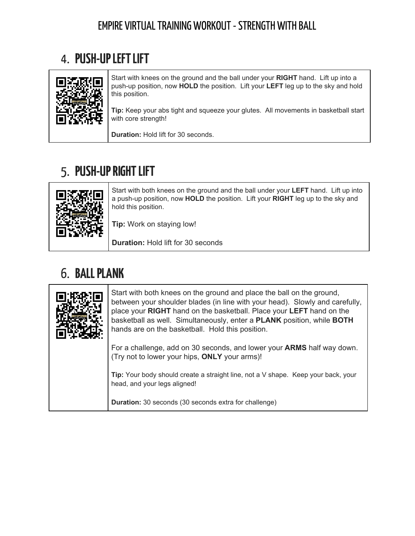#### EMPIRE VIRTUAL TRAINING WORKOUT - STRENGTH WITH BALL

## 4. **PUSH-UPLEFTLIFT**



Start with knees on the ground and the ball under your **RIGHT** hand. Lift up into a push-up position, now **HOLD** the position. Lift your **LEFT** leg up to the sky and hold this position.

**Tip:** Keep your abs tight and squeeze your glutes. All movements in basketball start with core strength!

**Duration:** Hold lift for 30 seconds.

## 5. **PUSH-UPRIGHTLIFT**



Start with both knees on the ground and the ball under your **LEFT** hand. Lift up into a push-up position, now **HOLD** the position. Lift your **RIGHT** leg up to the sky and hold this position.

**Tip:** Work on staying low!

**Duration:** Hold lift for 30 seconds

## 6. **BALLPLANK**

| Start with both knees on the ground and place the ball on the ground,<br>between your shoulder blades (in line with your head). Slowly and carefully,<br>place your RIGHT hand on the basketball. Place your LEFT hand on the<br>basketball as well. Simultaneously, enter a <b>PLANK</b> position, while <b>BOTH</b><br>hands are on the basketball. Hold this position. |
|---------------------------------------------------------------------------------------------------------------------------------------------------------------------------------------------------------------------------------------------------------------------------------------------------------------------------------------------------------------------------|
| For a challenge, add on 30 seconds, and lower your <b>ARMS</b> half way down.<br>(Try not to lower your hips, ONLY your arms)!                                                                                                                                                                                                                                            |
| Tip: Your body should create a straight line, not a V shape. Keep your back, your<br>head, and your legs aligned!                                                                                                                                                                                                                                                         |
| <b>Duration:</b> 30 seconds (30 seconds extra for challenge)                                                                                                                                                                                                                                                                                                              |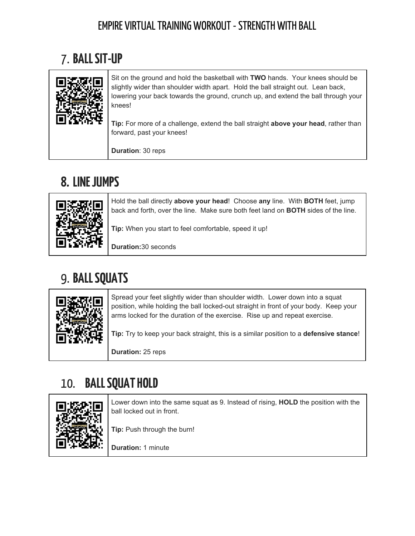#### EMPIRE VIRTUAL TRAINING WORKOUT - STRENGTH WITH BALL

# 7. **BALLSIT-UP**



**Duration**: 30 reps

# **8. LINEJUMPS**



Hold the ball directly **above your head**! Choose **any** line. With **BOTH** feet, jump back and forth, over the line. Make sure both feet land on **BOTH** sides of the line.

**Tip:** When you start to feel comfortable, speed it up!

**Duration:**30 seconds

# 9. **BALLSQUATS**



Spread your feet slightly wider than shoulder width. Lower down into a squat position, while holding the ball locked-out straight in front of your body. Keep your arms locked for the duration of the exercise. Rise up and repeat exercise.

**Tip:** Try to keep your back straight, this is a similar position to a **defensive stance**!

**Duration:** 25 reps

# 10. **BALLSQUATHOLD**